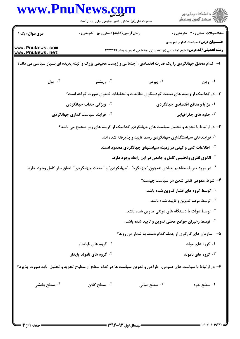|                                    | حضرت علی(ع): دانش راهبر نیکویی برای ایمان است                                                                    |                                                                                    | ر<br>دانشڪاه پيام نور)<br>ا∛ مرڪز آزمون وسنڊش |
|------------------------------------|------------------------------------------------------------------------------------------------------------------|------------------------------------------------------------------------------------|-----------------------------------------------|
| <b>سری سوال :</b> یک ۱             | <b>زمان آزمون (دقیقه) : تستی : 50 ٪ تشریحی : 0</b>                                                               |                                                                                    | <b>تعداد سوالات : تستي : 30 ٪ تشريحي : 0</b>  |
| www.PnuNews.com<br>www.PnuNews.net |                                                                                                                  | <b>رشته تحصیلی/کد درس:</b> علوم اجتماعی (برنامه ریزی اجتماعی تعاون و رفاه) ۱۲۲۲۱۹۹ | <b>عنــــوان درس:</b> سیاست گذاری توریسم      |
|                                    | ا– کدام محقق جهانگردی را یک قدرت اقتصادی ، اجتماعی و زیست محیطی بزرگ و البته پدیده ای بسیار سیاسی می داند؟       |                                                                                    |                                               |
| ۰۴ بول                             | ۰ <sup>۳</sup> ریشتر                                                                                             | ۰۲ پیرس                                                                            | ۰۱ ریان                                       |
|                                    | ۲- در کدامیک از زمینه های صنعت گردشگری مطالعات و تحقیقات کمتری صورت گرفته است؟                                   |                                                                                    |                                               |
|                                    | <sup>۲ .</sup> ویژگی جذاب جهانگردی                                                                               |                                                                                    | ۰۱ مزایا و منافع اقتصادی جهانگردی             |
|                                    | ۰۴ فرایند سیاست گذاری جهانگردی                                                                                   |                                                                                    | ۰ <sup>۳</sup> جلوه های جغرافیایی             |
|                                    | ۳- در ارتباط با تجزیه و تحلیل سیاست های جهانگردی کدامیک از گزینه های زیر صحیح می باشد؟                           |                                                                                    |                                               |
|                                    |                                                                                                                  | ۰۱ فرایندهای سیاستگذاری جهانگردی رسما تایید و پذیرفته شده اند.                     |                                               |
|                                    |                                                                                                                  | <sup>۰۲</sup> اطلاعات کمی و کیفی در زمینه سیاستهای جهانگردی محدود است.             |                                               |
|                                    |                                                                                                                  | ۰۳ الگوی نظری وتحلیلی کامل و جامعی در این رابطه وجود دارد.                         |                                               |
|                                    | ۰۴ در مورد تعریف مفاهیم بنیادی همچون <b>"جهانگرد" ، "جهانگردی" و "صنعت جهانگر</b> دی" اتفاق نظر کامل وجود  دارد. |                                                                                    |                                               |
|                                    |                                                                                                                  |                                                                                    | ۴– شرط عمومی تلقی شدن هر سیاست چیست؟          |
|                                    |                                                                                                                  |                                                                                    | ۰۱ توسط گروه های فشار تدوین شده باشد.         |
|                                    |                                                                                                                  |                                                                                    | <b>۲ . توسط مردم تدوین و تایید شده باشد.</b>  |
|                                    |                                                                                                                  | ۰ <sup>۳ ت</sup> وسط دولت یا دستگاه های دولتی تدوین شده باشد.                      |                                               |
|                                    |                                                                                                                  | ۰۴ توسط رهبران جوامع محلی تدوین و تایید شده باشد.                                  |                                               |
|                                    |                                                                                                                  | ۵– سازمان های کارگری از جمله کدام دسته به شمار می روند؟                            |                                               |
|                                    | <sup>۲ .</sup> گروه های ناپایدار                                                                                 |                                                                                    | ۰۱ گروه های مولد                              |
|                                    | ۰۴ گروه های نامولد پایدار                                                                                        |                                                                                    | ۰۳ گروه های نامولد                            |
|                                    | ۶– در ارتباط با سیاست های عمومی، طراحی و تدوین سیاست ها در کدام سطح از سطوح تجزیه و تحلیل باید صورت پذیرد؟       |                                                                                    |                                               |
| ۰۴ سطح بخشی                        | سطح کلان $\cdot$                                                                                                 | ۰ <sup>۲</sup> سطح میانی                                                           | ۰۱ سطح خرد                                    |
|                                    |                                                                                                                  |                                                                                    |                                               |
|                                    |                                                                                                                  |                                                                                    |                                               |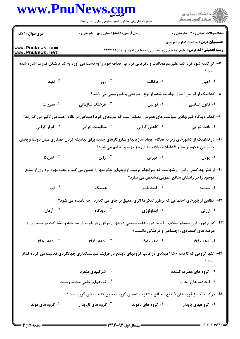|                                    | www.PnuNews.com<br>حضرت علی(ع): دانش راهبر نیکویی برای ایمان است                                                |                                                                                   | ڪ دانشڪاه پيام نور<br>پ <sup>ر</sup> مرڪز آزمون وسنڊش |
|------------------------------------|-----------------------------------------------------------------------------------------------------------------|-----------------------------------------------------------------------------------|-------------------------------------------------------|
| <b>سری سوال : ۱ یک</b>             | <b>زمان آزمون (دقیقه) : تستی : 50 ٪ تشریحی : 0</b>                                                              |                                                                                   | <b>تعداد سوالات : تستی : 30 ٪ تشریحی : 0</b>          |
| www.PnuNews.com<br>www.PnuNews.net |                                                                                                                 | <b>رشته تحصیلی/کد درس:</b> علوم اجتماعی (برنامه ریزی اجتماعی تعاون و رفاه)1۲۲۲۱۹۹ | <b>عنـــوان درس:</b> سیاست گذاری توریسم               |
|                                    | ۷– اگر گفته شود فرد الف علیرغم مخالفت و نافرمانی فرد ب اهداف خود را به دست می آورد به کدام شکل قدرت اشاره شده   |                                                                                   | است؟                                                  |
| ۰۴ نفوذ                            | ۰۳ زور                                                                                                          | ۰۲ دخالت                                                                          | ۰۱ اجبار                                              |
|                                    |                                                                                                                 | ۸– کدامیک از قوانین اصول نهادینه شده از نوع۔ تلویحی و غیررسمی می باشد؟            |                                                       |
| ۰۴ مقررات                          | نوهنگ سازمانی $\cdot^{\mathtt{w}}$                                                                              | ۰ <sup>۲</sup> قوانین                                                             | ۰۱ قانون اساسی                                        |
|                                    | ۹– کدام دیدگاه غیرنهادی سیاست های عمومی ًمعتقد است که نیروهای خرد اجتماعی بر نظام اجتماعی تاثیر می گذارند؟      |                                                                                   |                                                       |
| ۰ <sup>۴</sup> ابزار گرایی         | ۰ <sup>۳</sup> مطلوبیت گرایی                                                                                    | <sup>۲.</sup> کاهش گرایی                                                          | ۰۱ بافت گرایی                                         |
|                                    | ۱۰- درکدامیک از کشورهای زیر به هنگام ایجاد سازمانها و سازوکارهای جدید برای نهادینه کردن همکاری میان دولت و بخش  | خصوصی علاوه بر سایر اقدامات، توافقنامه ای نیز تهیه و تنظیم می شود؟                |                                                       |
| ۰ <sup>۴</sup> امریکا              | ا ژاپن $\cdot$                                                                                                  | ۰ <sup>۲</sup> قبرس                                                               | ۰۱ يونان                                              |
|                                    | 11– از نظر چه کسی ، این ارزشهاست که سرانجام ترتیب اولویتهای حکومتها را تعیین می کند و نحوه بهره برداری از منابع | موجود را در راستای منافع عمومی مشخص می سازد؟                                      |                                                       |
| ۰۴ لوی $\cdot$                     | هنينگ $\cdot$                                                                                                   | <sup>7.</sup> ليند بلوم                                                           | ۰۱ سیمنز                                              |
|                                    | 12- نظامی از باورهای اجتماعی که برطرز تفکر ما اثری عمیق بر جای می گذارد ، چه نامیده می شود؟                     |                                                                                   |                                                       |
| ۰۴ آرمان                           | ۰ <sup>۳</sup> دیدگاه                                                                                           | ۰ <sup>۲</sup> ايدئولوژي                                                          | ۰۱ ارزش                                               |
|                                    | ۱۳- کدام دوره قرن بیستم میلادی را باید دوره عقب نشینی دولتهای مرکزی در غرب آز مداخله و مشارکت در بسیاری از      | عرصه های اقتصادی ، اجتماعی و فرهنگی دانست؟                                        |                                                       |
| $19\lambda$ ۰ دهه ۱۹۸۰             | . دهه ۱۹۷۰ $\cdot$                                                                                              | <sup>۲</sup> ۰ دهه ۱۹۵۰                                                           | ۰۱ دهه ۱۹۴۰                                           |
|                                    | ۱۴– تنها گروهی که تا دهه ۱۹۶۰ میلادی در قالب گروههای ذینفع در فرایند سیاستگذاری جهانگردی فعالیت می کرده کدام    |                                                                                   | است؟                                                  |
|                                    | ۰ <sup>۲</sup> شرکتهای منفرد                                                                                    |                                                                                   | ۰۱ گروه های مصرف کننده                                |
|                                    | ۰۴ گروههای حامی محیط زیست                                                                                       |                                                                                   | اتحادیه های تجاری $\cdot^{\intercal}$                 |
|                                    |                                                                                                                 |                                                                                   |                                                       |
|                                    | ۱۵– درکدامیک از گروه های ذینفع ، منافع مشترک اعضای گروه ، تعیین کننده بقای گروه است؟                            |                                                                                   |                                                       |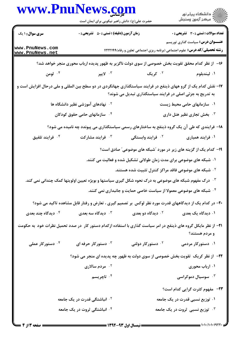|                                        | www.PnuNews.com<br>حضرت علی(ع): دانش راهبر نیکویی برای ایمان است                                                   |                                                                                                                 |                                              |
|----------------------------------------|--------------------------------------------------------------------------------------------------------------------|-----------------------------------------------------------------------------------------------------------------|----------------------------------------------|
| <b>سری سوال : ۱ یک</b>                 | <b>زمان آزمون (دقیقه) : تستی : 50 ٪ تشریحی : 0</b>                                                                 |                                                                                                                 | <b>تعداد سوالات : تستی : 30 ٪ تشریحی : 0</b> |
| www.PnuNews.com<br>www.PnuNews.net     |                                                                                                                    | <b>رشته تحصیلی/کد درس:</b> علوم اجتماعی (برنامه ریزی اجتماعی تعاون و رفاه)۱۲۲۲۱۹۹                               | <b>عنـــوان درس:</b> سیاست گذاری توریسم      |
|                                        | ۱۶– از نظر کدام محقق تقویت بخش خصوصی از سوی دولت ناگزیر به ظهور پدیده ارباب محوری منجر خواهد شد؟                   |                                                                                                                 |                                              |
|                                        |                                                                                                                    | ۰۲ کريک د مخالف کې د کارونکو کې د کارونکو کې د کارونکو کې د کارونکو کې د کارونکو کارونکو کې د کارونکو کارونکو ک | ۰۱ لیندبلوم                                  |
|                                        | ۱۷– نقش کدام یک از گرو ههای ذینفع در فرایند سیاستگذاری جهانگردی در دو سطح بین المللی و ملی درحال افزایش است و      | به تدریج به جزئی اصلی در فرایند سیاستگذاری تبدیل می شوند؟                                                       |                                              |
|                                        | <sup>۲.</sup> نهادهای آموزشی نظیر دانشگاه ها                                                                       |                                                                                                                 | ۰۱ سازمانهای حامی محیط زیست                  |
|                                        | <sup>۴ .</sup> سازمانهای حامی حقوق کودکان                                                                          |                                                                                                                 | ۰۳ بخش تجاری نظیر هتل داری                   |
|                                        | ۱۸– فرایندی که طی آن یک گروه ذینفع به ساختارهای رسمی سیاستگذاری می پیوندد چه نامیده می شود؟                        |                                                                                                                 |                                              |
| ۰۴ فرايند تلفيق                        | ۰۳ فرایند مشارکت                                                                                                   | ۰ <sup>۲</sup> فرایند وابستگی                                                                                   | ۰۱ فرایند همیاری                             |
|                                        |                                                                                                                    | ۱۹- کدام یک از گزینه های زیر در مورد "شبکه های موضوعی" صادق است؟                                                |                                              |
|                                        |                                                                                                                    | ۰۱ شبکه های موضوعی برای مدت زمان طولانی تشکیل شده و فعالیت می کنند.                                             |                                              |
|                                        |                                                                                                                    | <sup>۲</sup> ۰ شبکه های موضوعی فاقد مراکز کنترل تثبیت شده هستند.                                                |                                              |
|                                        | ۰ <sup>۳ .</sup> درک مفهوم شبکه های موضوعی به درک نحوه شکل گیری سیاستها و بویژه تعیین اولویتها کمک چندانی نمی کند. |                                                                                                                 |                                              |
|                                        |                                                                                                                    | ۰۴ شبکه های موضوعی معمولا از سیاست خاصی حمایت و جانبداری نمی کنند.                                              |                                              |
|                                        | ۲۰– در کدام یک از دیدگاههای قدرت مورد نظر لوکس بر تصمیم گیری ، تعارض و رفتار قابل مشاهده تاکید می شود؟             |                                                                                                                 |                                              |
| دیدگاه چند بعدی $\cdot^{\mathfrak{c}}$ | دیدگاه سه بعدی $\cdot^{\mathtt{v}}$                                                                                | دیدگاه دو بعدی $\cdot$ ۲                                                                                        | ۰۱ دیدگاه یک بعدی                            |
|                                        | ۲۱– از نظر مایکل گروه های ذینفع در امر سیاست گذاری با استفاده ازکدام دستور کار ً در صدد تحمیل نظرات خود ًبه حکومت  |                                                                                                                 | و مردم هستند؟                                |
| ۰۴ دستورکار عملی                       | دستورکار حرفه ای $\cdot^{\mathsf{\tau}}$                                                                           | ۰ <sup>۲</sup> دستورکار دولتی                                                                                   | ۰۱ دستورکار مردمی                            |
|                                        | ۲۲- از نظر کریک تقویت بخش خصوصی از سوی دولت به ظهور چه پدیده ای منجر می شود؟                                       |                                                                                                                 |                                              |
|                                        | ۰ <sup>۲</sup> مردم سالاری                                                                                         |                                                                                                                 | ۰۱ ارباب محوری                               |
|                                        | ۰۴ تاچریسم                                                                                                         |                                                                                                                 | ۰ <sup>۳</sup> سوسیال دموکراسی               |
|                                        |                                                                                                                    |                                                                                                                 | <b>۲۳</b> - مفهوم کثرت گرایی کدام است؟       |
|                                        | <sup>۲ .</sup> انباشتگی قدرت در یک جامعه                                                                           |                                                                                                                 | ۰۱ توزیع نسبی قدرت در یک جامعه               |
|                                        | ۰۴ انباشتگی ثروت در یک جامعه                                                                                       |                                                                                                                 | <b>۰۳ توزیع نسبی ثروت در یک جامعه</b>        |
|                                        |                                                                                                                    |                                                                                                                 |                                              |